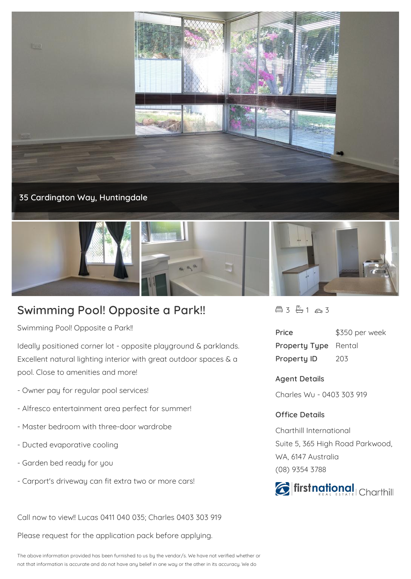



## **Swimming Pool! Opposite a Park!!**

Swimming Pool! Opposite a Park!!

Ideally positioned corner lot - opposite playground & parklands. Excellent natural lighting interior with great outdoor spaces & a pool. Close to amenities and more!

- Owner pay for regular pool services!
- Alfresco entertainment area perfect for summer!
- Master bedroom with three-door wardrobe
- Ducted evaporative cooling
- Garden bed ready for you
- Carport's driveway can fit extra two or more cars!

Call now to view!! Lucas 0411 040 035; Charles 0403 303 919

Please request for the application pack before applying.

 $43 - 163$ 

| Price                       | \$350 per week |
|-----------------------------|----------------|
| <b>Property Type</b> Rental |                |
| <b>Property ID</b>          | 203            |

**Agent Details**

Charles Wu - 0403 303 919

## **Office Details**

Charthill International Suite 5, 365 High Road Parkwood, WA, 6147 Australia (08) 9354 3788



The above information provided has been furnished to us by the vendor/s. We have not verified whether or not that information is accurate and do not have any belief in one way or the other in its accuracy. We do